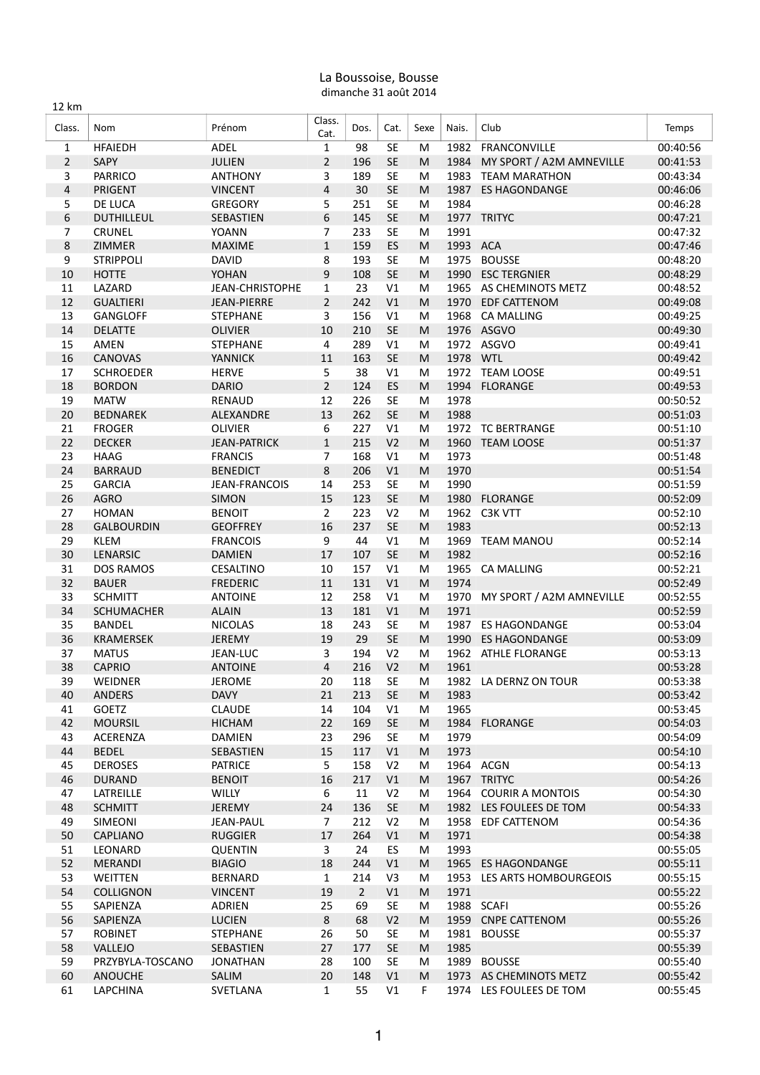## La Boussoise, Bousse dimanche 31 août 2014

| 12 km          |                                    |                                |                |                |                        |           |              |                                      |                      |
|----------------|------------------------------------|--------------------------------|----------------|----------------|------------------------|-----------|--------------|--------------------------------------|----------------------|
| Class.         | Nom                                | Prénom                         | Class.<br>Cat. | Dos.           | Cat.                   | Sexe      | Nais.        | Club                                 | Temps                |
| 1              | <b>HFAIEDH</b>                     | ADEL                           | $\mathbf{1}$   | 98             | SE                     | M         | 1982         | FRANCONVILLE                         | 00:40:56             |
| $\overline{2}$ | SAPY                               | <b>JULIEN</b>                  | $\overline{2}$ | 196            | <b>SE</b>              | M         | 1984         | MY SPORT / A2M AMNEVILLE             | 00:41:53             |
| 3              | <b>PARRICO</b>                     | <b>ANTHONY</b>                 | 3              | 189            | <b>SE</b>              | M         |              | 1983 TEAM MARATHON                   | 00:43:34             |
| $\overline{4}$ | <b>PRIGENT</b>                     | <b>VINCENT</b>                 | $\overline{4}$ | 30             | <b>SE</b>              | M         | 1987         | <b>ES HAGONDANGE</b>                 | 00:46:06             |
| 5              | DE LUCA                            | <b>GREGORY</b>                 | 5              | 251            | <b>SE</b>              | M         | 1984         |                                      | 00:46:28             |
| 6              | <b>DUTHILLEUL</b>                  | <b>SEBASTIEN</b>               | 6              | 145            | <b>SE</b>              | M         |              | 1977 TRITYC                          | 00:47:21             |
| 7              | <b>CRUNEL</b>                      | YOANN                          | 7              | 233            | <b>SE</b>              | M         | 1991         |                                      | 00:47:32             |
| 8              | ZIMMER                             | <b>MAXIME</b>                  | $\mathbf{1}$   | 159            | <b>ES</b>              | M         | 1993 ACA     |                                      | 00:47:46             |
| 9<br>$10\,$    | <b>STRIPPOLI</b>                   | <b>DAVID</b><br><b>YOHAN</b>   | 8<br>9         | 193<br>108     | <b>SE</b><br><b>SE</b> | M<br>M    | 1975<br>1990 | <b>BOUSSE</b><br><b>ESC TERGNIER</b> | 00:48:20             |
| 11             | <b>HOTTE</b><br>LAZARD             | <b>JEAN-CHRISTOPHE</b>         | $\mathbf{1}$   | 23             | V1                     | M         |              | 1965 AS CHEMINOTS METZ               | 00:48:29<br>00:48:52 |
| 12             | <b>GUALTIERI</b>                   | <b>JEAN-PIERRE</b>             | $\overline{2}$ | 242            | V <sub>1</sub>         | M         | 1970         | <b>EDF CATTENOM</b>                  | 00:49:08             |
| 13             | GANGLOFF                           | <b>STEPHANE</b>                | 3              | 156            | V1                     | M         | 1968         | <b>CA MALLING</b>                    | 00:49:25             |
| 14             | <b>DELATTE</b>                     | OLIVIER                        | 10             | 210            | <b>SE</b>              | M         |              | 1976 ASGVO                           | 00:49:30             |
| 15             | AMEN                               | <b>STEPHANE</b>                | 4              | 289            | V1                     | M         |              | 1972 ASGVO                           | 00:49:41             |
| 16             | CANOVAS                            | <b>YANNICK</b>                 | 11             | 163            | <b>SE</b>              | M         | 1978 WTL     |                                      | 00:49:42             |
| 17             | <b>SCHROEDER</b>                   | <b>HERVE</b>                   | 5              | 38             | V1                     | M         |              | 1972 TEAM LOOSE                      | 00:49:51             |
| 18             | <b>BORDON</b>                      | <b>DARIO</b>                   | $\overline{2}$ | 124            | ES                     | M         | 1994         | <b>FLORANGE</b>                      | 00:49:53             |
| 19             | <b>MATW</b>                        | <b>RENAUD</b>                  | 12             | 226            | <b>SE</b>              | M         | 1978         |                                      | 00:50:52             |
| 20             | <b>BEDNAREK</b>                    | ALEXANDRE                      | 13             | 262            | <b>SE</b>              | M         | 1988         |                                      | 00:51:03             |
| 21             | <b>FROGER</b>                      | <b>OLIVIER</b>                 | 6              | 227            | V1                     | M         | 1972         | <b>TC BERTRANGE</b>                  | 00:51:10             |
| 22             | <b>DECKER</b>                      | <b>JEAN-PATRICK</b>            | $\mathbf{1}$   | 215            | V <sub>2</sub>         | M         | 1960         | <b>TEAM LOOSE</b>                    | 00:51:37             |
| 23             | <b>HAAG</b>                        | <b>FRANCIS</b>                 | $\overline{7}$ | 168            | V1                     | M         | 1973         |                                      | 00:51:48             |
| 24             | <b>BARRAUD</b>                     | <b>BENEDICT</b>                | 8              | 206            | V1                     | ${\sf M}$ | 1970         |                                      | 00:51:54             |
| 25             | <b>GARCIA</b>                      | <b>JEAN-FRANCOIS</b>           | 14             | 253            | <b>SE</b>              | M         | 1990         |                                      | 00:51:59             |
| 26             | <b>AGRO</b>                        | <b>SIMON</b>                   | 15             | 123            | <b>SE</b>              | M         | 1980         | <b>FLORANGE</b>                      | 00:52:09             |
| 27             | <b>HOMAN</b>                       | <b>BENOIT</b>                  | $\overline{2}$ | 223            | V <sub>2</sub>         | M         | 1962         | C3K VTT                              | 00:52:10             |
| 28             | <b>GALBOURDIN</b>                  | <b>GEOFFREY</b>                | 16             | 237            | <b>SE</b>              | M         | 1983         |                                      | 00:52:13             |
| 29             | <b>KLEM</b>                        | <b>FRANCOIS</b>                | 9              | 44             | V1                     | M         | 1969         | <b>TEAM MANOU</b>                    | 00:52:14             |
| 30             | <b>LENARSIC</b>                    | <b>DAMIEN</b>                  | 17             | 107            | <b>SE</b>              | M         | 1982         |                                      | 00:52:16             |
| 31             | <b>DOS RAMOS</b>                   | CESALTINO                      | 10             | 157            | V1                     | M         |              | 1965 CA MALLING                      | 00:52:21             |
| 32             | <b>BAUER</b>                       | <b>FREDERIC</b>                | 11             | 131            | V1                     | M         | 1974         |                                      | 00:52:49             |
| 33<br>34       | <b>SCHMITT</b>                     | <b>ANTOINE</b><br><b>ALAIN</b> | 12<br>13       | 258<br>181     | V1<br>V1               | M<br>M    | 1970<br>1971 | MY SPORT / A2M AMNEVILLE             | 00:52:55<br>00:52:59 |
| 35             | <b>SCHUMACHER</b><br><b>BANDEL</b> | <b>NICOLAS</b>                 | 18             | 243            | <b>SE</b>              | M         | 1987         | <b>ES HAGONDANGE</b>                 | 00:53:04             |
| 36             | <b>KRAMERSEK</b>                   | <b>JEREMY</b>                  | 19             | 29             | <b>SE</b>              | M         | 1990         | <b>ES HAGONDANGE</b>                 | 00:53:09             |
| 37             | <b>MATUS</b>                       | JEAN-LUC                       | 3              | 194            | V <sub>2</sub>         | M         | 1962         | <b>ATHLE FLORANGE</b>                | 00:53:13             |
| 38             | <b>CAPRIO</b>                      | <b>ANTOINE</b>                 | $\overline{4}$ | 216            | V <sub>2</sub>         | M         | 1961         |                                      | 00:53:28             |
| 39             | WEIDNER                            | <b>JEROME</b>                  | 20             | 118            | SE                     | M         |              | 1982 LA DERNZ ON TOUR                | 00:53:38             |
| 40             | <b>ANDERS</b>                      | <b>DAVY</b>                    | 21             | 213            | SE                     | M         | 1983         |                                      | 00:53:42             |
| 41             | GOETZ                              | <b>CLAUDE</b>                  | 14             | 104            | V1                     | M         | 1965         |                                      | 00:53:45             |
| 42             | <b>MOURSIL</b>                     | <b>HICHAM</b>                  | 22             | 169            | SE                     | M         | 1984         | <b>FLORANGE</b>                      | 00:54:03             |
| 43             | ACERENZA                           | <b>DAMIEN</b>                  | 23             | 296            | SE                     | M         | 1979         |                                      | 00:54:09             |
| 44             | <b>BEDEL</b>                       | SEBASTIEN                      | 15             | 117            | V1                     | M         | 1973         |                                      | 00:54:10             |
| 45             | <b>DEROSES</b>                     | <b>PATRICE</b>                 | 5              | 158            | V <sub>2</sub>         | M         |              | 1964 ACGN                            | 00:54:13             |
| 46             | <b>DURAND</b>                      | <b>BENOIT</b>                  | 16             | 217            | V1                     | M         |              | 1967 TRITYC                          | 00:54:26             |
| 47             | LATREILLE                          | WILLY                          | 6              | 11             | V <sub>2</sub>         | M         |              | 1964 COURIR A MONTOIS                | 00:54:30             |
| 48             | <b>SCHMITT</b>                     | <b>JEREMY</b>                  | 24             | 136            | SE                     | M         |              | 1982 LES FOULEES DE TOM              | 00:54:33             |
| 49             | SIMEONI                            | JEAN-PAUL                      | $\overline{7}$ | 212            | V <sub>2</sub>         | М         |              | 1958 EDF CATTENOM                    | 00:54:36             |
| 50             | <b>CAPLIANO</b>                    | <b>RUGGIER</b>                 | 17             | 264            | V1                     | M         | 1971         |                                      | 00:54:38             |
| 51             | LEONARD                            | <b>QUENTIN</b>                 | 3              | 24             | ES                     | M         | 1993         |                                      | 00:55:05             |
| 52             | MERANDI                            | <b>BIAGIO</b>                  | 18             | 244            | V1                     | M         |              | 1965 ES HAGONDANGE                   | 00:55:11             |
| 53             | WEITTEN                            | <b>BERNARD</b>                 | $\mathbf{1}$   | 214            | V <sub>3</sub>         | M         |              | 1953 LES ARTS HOMBOURGEOIS           | 00:55:15             |
| 54             | <b>COLLIGNON</b>                   | <b>VINCENT</b>                 | 19             | $\overline{2}$ | V1                     | M         | 1971         |                                      | 00:55:22             |
| 55<br>56       | SAPIENZA<br>SAPIENZA               | ADRIEN<br><b>LUCIEN</b>        | 25<br>$\,8\,$  | 69<br>68       | SE<br>V <sub>2</sub>   | M<br>M    |              | 1988 SCAFI<br>1959 CNPE CATTENOM     | 00:55:26<br>00:55:26 |
| 57             | <b>ROBINET</b>                     | <b>STEPHANE</b>                | 26             | 50             | SE                     | M         | 1981         | <b>BOUSSE</b>                        | 00:55:37             |
| 58             | VALLEJO                            | SEBASTIEN                      | 27             | 177            | SE                     | M         | 1985         |                                      | 00:55:39             |
| 59             | PRZYBYLA-TOSCANO                   | <b>JONATHAN</b>                | 28             | 100            | SE                     | M         |              | 1989 BOUSSE                          | 00:55:40             |
| 60             | <b>ANOUCHE</b>                     | SALIM                          | 20             | 148            | V1                     | M         |              | 1973 AS CHEMINOTS METZ               | 00:55:42             |
| 61             | LAPCHINA                           | SVETLANA                       | $\mathbf{1}$   | 55             | V1                     | F         |              | 1974 LES FOULEES DE TOM              | 00:55:45             |
|                |                                    |                                |                |                |                        |           |              |                                      |                      |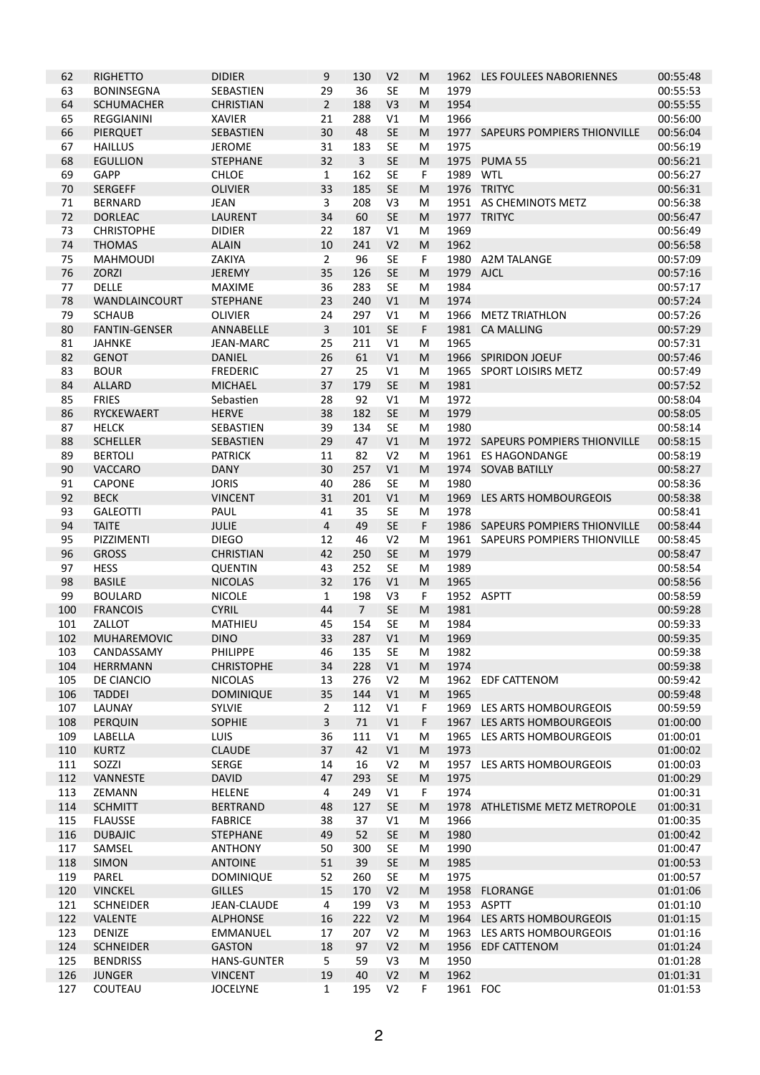| 62         | <b>RIGHETTO</b>             | <b>DIDIER</b>                 | 9                                | 130            | V <sub>2</sub> | M      | 1962     | LES FOULEES NABORIENNES                             | 00:55:48             |
|------------|-----------------------------|-------------------------------|----------------------------------|----------------|----------------|--------|----------|-----------------------------------------------------|----------------------|
| 63         | <b>BONINSEGNA</b>           | SEBASTIEN                     | 29                               | 36             | <b>SE</b>      | M      | 1979     |                                                     | 00:55:53             |
| 64         | <b>SCHUMACHER</b>           | <b>CHRISTIAN</b>              | $\overline{2}$                   | 188            | V <sub>3</sub> | M      | 1954     |                                                     | 00:55:55             |
| 65         | REGGIANINI                  | <b>XAVIER</b>                 | 21                               | 288            | V1             | M      | 1966     |                                                     | 00:56:00             |
| 66         | PIERQUET                    | SEBASTIEN                     | 30                               | 48             | <b>SE</b>      | M      | 1977     | SAPEURS POMPIERS THIONVILLE                         | 00:56:04             |
| 67         | <b>HAILLUS</b>              | <b>JEROME</b>                 | 31                               | 183            | <b>SE</b>      | M      | 1975     |                                                     | 00:56:19             |
| 68         | <b>EGULLION</b>             | <b>STEPHANE</b>               | 32                               | $\overline{3}$ | <b>SE</b>      | M      | 1975     | PUMA <sub>55</sub>                                  | 00:56:21             |
| 69         | GAPP                        | <b>CHLOE</b>                  | $\mathbf{1}$                     | 162            | <b>SE</b>      | F      | 1989     | WTL                                                 | 00:56:27             |
| 70         | <b>SERGEFF</b>              | <b>OLIVIER</b>                | 33                               | 185            | <b>SE</b>      | M      |          | 1976 TRITYC                                         | 00:56:31             |
| 71         | <b>BERNARD</b>              | <b>JEAN</b>                   | 3                                | 208            | V <sub>3</sub> | M      | 1951     | AS CHEMINOTS METZ                                   | 00:56:38             |
| 72         | <b>DORLEAC</b>              | <b>LAURENT</b>                | 34                               | 60             | <b>SE</b>      | M      | 1977     | <b>TRITYC</b>                                       | 00:56:47             |
| 73         | <b>CHRISTOPHE</b>           | <b>DIDIER</b>                 | 22                               | 187            | V1             | M      | 1969     |                                                     | 00:56:49             |
| 74         | <b>THOMAS</b>               | <b>ALAIN</b>                  | 10                               | 241            | V <sub>2</sub> | M      | 1962     |                                                     | 00:56:58             |
| 75         | <b>MAHMOUDI</b>             | ZAKIYA                        | $\overline{2}$                   | 96             | <b>SE</b>      | F      | 1980     | A2M TALANGE                                         | 00:57:09             |
| 76         | <b>ZORZI</b>                | <b>JEREMY</b>                 | 35                               | 126            | <b>SE</b>      | M      | 1979     | <b>AJCL</b>                                         | 00:57:16             |
| 77         | <b>DELLE</b>                | <b>MAXIME</b>                 | 36                               | 283            | <b>SE</b>      | M      | 1984     |                                                     | 00:57:17             |
| 78         | <b>WANDLAINCOURT</b>        | <b>STEPHANE</b>               | 23                               | 240            | V1             | M      | 1974     |                                                     | 00:57:24             |
| 79         | <b>SCHAUB</b>               | <b>OLIVIER</b>                | 24                               | 297            | V1             | M      | 1966     | <b>METZ TRIATHLON</b>                               | 00:57:26             |
| 80         | <b>FANTIN-GENSER</b>        | ANNABELLE<br><b>JEAN-MARC</b> | $\overline{3}$                   | 101            | <b>SE</b>      | F      | 1981     | <b>CA MALLING</b>                                   | 00:57:29             |
| 81<br>82   | <b>JAHNKE</b>               | <b>DANIEL</b>                 | 25<br>26                         | 211<br>61      | V1<br>V1       | M<br>M | 1965     | 1966 SPIRIDON JOEUF                                 | 00:57:31<br>00:57:46 |
| 83         | <b>GENOT</b><br><b>BOUR</b> | <b>FREDERIC</b>               | 27                               | 25             | V1             | M      | 1965     | <b>SPORT LOISIRS METZ</b>                           | 00:57:49             |
| 84         | <b>ALLARD</b>               | <b>MICHAEL</b>                | 37                               | 179            | <b>SE</b>      | M      | 1981     |                                                     | 00:57:52             |
| 85         | <b>FRIES</b>                | Sebastien                     | 28                               | 92             | V1             | M      | 1972     |                                                     | 00:58:04             |
| 86         | <b>RYCKEWAERT</b>           | <b>HERVE</b>                  | 38                               | 182            | <b>SE</b>      | M      | 1979     |                                                     | 00:58:05             |
| 87         | <b>HELCK</b>                | SEBASTIEN                     | 39                               | 134            | <b>SE</b>      | M      | 1980     |                                                     | 00:58:14             |
| 88         | <b>SCHELLER</b>             | <b>SEBASTIEN</b>              | 29                               | 47             | V1             | M      |          | 1972 SAPEURS POMPIERS THIONVILLE                    | 00:58:15             |
| 89         | <b>BERTOLI</b>              | <b>PATRICK</b>                | 11                               | 82             | V <sub>2</sub> | M      | 1961     | <b>ES HAGONDANGE</b>                                | 00:58:19             |
| 90         | <b>VACCARO</b>              | <b>DANY</b>                   | 30                               | 257            | V1             | M      | 1974     | <b>SOVAB BATILLY</b>                                | 00:58:27             |
| 91         | CAPONE                      | <b>JORIS</b>                  | 40                               | 286            | <b>SE</b>      | M      | 1980     |                                                     | 00:58:36             |
| 92         | <b>BECK</b>                 | <b>VINCENT</b>                | 31                               | 201            | V1             | M      | 1969     | LES ARTS HOMBOURGEOIS                               | 00:58:38             |
| 93         | <b>GALEOTTI</b>             | PAUL                          | 41                               | 35             | <b>SE</b>      | M      | 1978     |                                                     | 00:58:41             |
| 94         | <b>TAITE</b>                | JULIE                         | $\overline{4}$                   | 49             | <b>SE</b>      | F      |          | 1986 SAPEURS POMPIERS THIONVILLE                    | 00:58:44             |
| 95         | PIZZIMENTI                  | <b>DIEGO</b>                  | 12                               | 46             | V <sub>2</sub> | M      | 1961     | SAPEURS POMPIERS THIONVILLE                         | 00:58:45             |
| 96         | <b>GROSS</b>                | <b>CHRISTIAN</b>              | 42                               | 250            | <b>SE</b>      | M      | 1979     |                                                     | 00:58:47             |
| 97         | <b>HESS</b>                 | <b>QUENTIN</b>                | 43                               | 252            | <b>SE</b>      | M      | 1989     |                                                     | 00:58:54             |
| 98         | <b>BASILE</b>               | <b>NICOLAS</b>                | 32                               | 176            | V1             | M      | 1965     |                                                     | 00:58:56             |
| 99         | <b>BOULARD</b>              | <b>NICOLE</b>                 | $\mathbf{1}$                     | 198            | V <sub>3</sub> | F      |          | 1952 ASPTT                                          | 00:58:59             |
| 100        | <b>FRANCOIS</b>             | <b>CYRIL</b>                  | 44                               | $\overline{7}$ | <b>SE</b>      | M      | 1981     |                                                     | 00:59:28             |
| 101        | ZALLOT                      | <b>MATHIEU</b>                | 45                               | 154            | <b>SE</b>      | M      | 1984     |                                                     | 00:59:33             |
| 102        | <b>MUHAREMOVIC</b>          | <b>DINO</b>                   | 33                               | 287            | V1             | M      | 1969     |                                                     | 00:59:35             |
| 103        | CANDASSAMY                  | <b>PHILIPPE</b>               | 46                               | 135            | <b>SE</b>      | M      | 1982     |                                                     | 00:59:38             |
| 104        | <b>HERRMANN</b>             | <b>CHRISTOPHE</b>             | 34                               | 228            | V1             | M      | 1974     |                                                     | 00:59:38             |
| 105        | DE CIANCIO                  | <b>NICOLAS</b>                | 13                               | 276            | V <sub>2</sub> | M      | 1962     | EDF CATTENOM                                        | 00:59:42             |
| 106        | <b>TADDEI</b>               | <b>DOMINIQUE</b>              | 35                               | 144            | V1             | M      | 1965     |                                                     | 00:59:48             |
| 107        | LAUNAY                      | SYLVIE<br><b>SOPHIE</b>       | $\overline{2}$<br>$\overline{3}$ | 112<br>$71\,$  | V1<br>V1       | F      | 1967     | 1969 LES ARTS HOMBOURGEOIS<br>LES ARTS HOMBOURGEOIS | 00:59:59             |
| 108<br>109 | PERQUIN<br>LABELLA          | LUIS                          | 36                               | 111            | V1             | F<br>M |          | 1965 LES ARTS HOMBOURGEOIS                          | 01:00:00<br>01:00:01 |
| 110        | <b>KURTZ</b>                | <b>CLAUDE</b>                 | 37                               | 42             | $\vee\!1$      | M      | 1973     |                                                     | 01:00:02             |
| 111        | SOZZI                       | SERGE                         | 14                               | 16             | V <sub>2</sub> | M      |          | 1957 LES ARTS HOMBOURGEOIS                          | 01:00:03             |
| 112        | VANNESTE                    | <b>DAVID</b>                  | 47                               | 293            | <b>SE</b>      | M      | 1975     |                                                     | 01:00:29             |
| 113        | ZEMANN                      | <b>HELENE</b>                 | 4                                | 249            | V1             | F      | 1974     |                                                     | 01:00:31             |
| 114        | <b>SCHMITT</b>              | <b>BERTRAND</b>               | 48                               | 127            | <b>SE</b>      | M      |          | 1978 ATHLETISME METZ METROPOLE                      | 01:00:31             |
| 115        | <b>FLAUSSE</b>              | <b>FABRICE</b>                | 38                               | 37             | V1             | М      | 1966     |                                                     | 01:00:35             |
| 116        | <b>DUBAJIC</b>              | <b>STEPHANE</b>               | 49                               | 52             | SE             | M      | 1980     |                                                     | 01:00:42             |
| 117        | SAMSEL                      | <b>ANTHONY</b>                | 50                               | 300            | SE             | M      | 1990     |                                                     | 01:00:47             |
| 118        | <b>SIMON</b>                | <b>ANTOINE</b>                | 51                               | 39             | SE             | M      | 1985     |                                                     | 01:00:53             |
| 119        | PAREL                       | <b>DOMINIQUE</b>              | 52                               | 260            | SE             | M      | 1975     |                                                     | 01:00:57             |
| 120        | <b>VINCKEL</b>              | <b>GILLES</b>                 | 15                               | 170            | V <sub>2</sub> | M      | 1958     | <b>FLORANGE</b>                                     | 01:01:06             |
| 121        | <b>SCHNEIDER</b>            | <b>JEAN-CLAUDE</b>            | 4                                | 199            | V3             | M      |          | 1953 ASPTT                                          | 01:01:10             |
| 122        | VALENTE                     | <b>ALPHONSE</b>               | 16                               | 222            | V <sub>2</sub> | M      |          | 1964 LES ARTS HOMBOURGEOIS                          | 01:01:15             |
| 123        | <b>DENIZE</b>               | EMMANUEL                      | 17                               | 207            | V <sub>2</sub> | M      |          | 1963 LES ARTS HOMBOURGEOIS                          | 01:01:16             |
| 124        | <b>SCHNEIDER</b>            | <b>GASTON</b>                 | 18                               | 97             | V <sub>2</sub> | M      | 1956     | EDF CATTENOM                                        | 01:01:24             |
| 125        | <b>BENDRISS</b>             | <b>HANS-GUNTER</b>            | 5                                | 59             | V3             | M      | 1950     |                                                     | 01:01:28             |
| 126        | <b>JUNGER</b>               | <b>VINCENT</b>                | 19                               | 40             | V <sub>2</sub> | M      | 1962     |                                                     | 01:01:31             |
| 127        | COUTEAU                     | <b>JOCELYNE</b>               | $\mathbf{1}$                     | 195            | V <sub>2</sub> | F      | 1961 FOC |                                                     | 01:01:53             |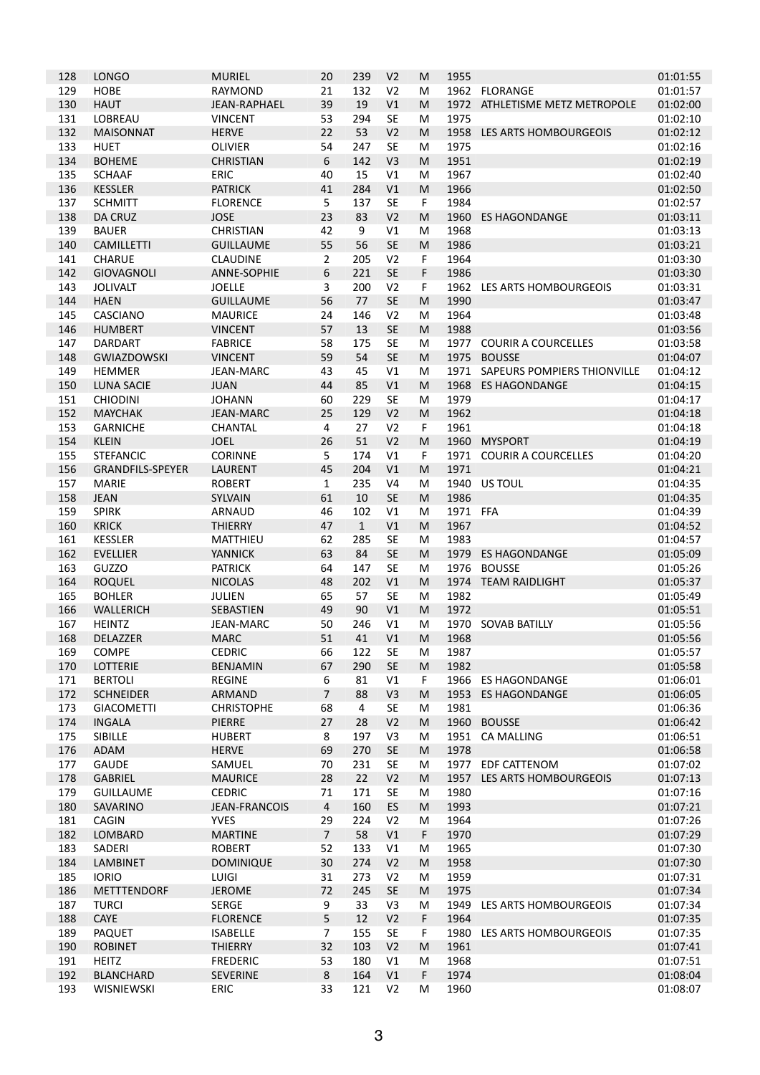| 128        | <b>LONGO</b>                         | <b>MURIEL</b>                     | 20             | 239          | V <sub>2</sub>       | M      | 1955         |                             | 01:01:55             |
|------------|--------------------------------------|-----------------------------------|----------------|--------------|----------------------|--------|--------------|-----------------------------|----------------------|
| 129        | <b>HOBE</b>                          | <b>RAYMOND</b>                    | 21             | 132          | V <sub>2</sub>       | M      |              | 1962 FLORANGE               | 01:01:57             |
| 130        | <b>HAUT</b>                          | <b>JEAN-RAPHAEL</b>               | 39             | 19           | V <sub>1</sub>       | M      | 1972         | ATHLETISME METZ METROPOLE   | 01:02:00             |
| 131        | LOBREAU                              | <b>VINCENT</b>                    | 53             | 294          | <b>SE</b>            | М      | 1975         |                             | 01:02:10             |
| 132        | <b>MAISONNAT</b>                     | <b>HERVE</b>                      | 22             | 53           | V <sub>2</sub>       | M      | 1958         | LES ARTS HOMBOURGEOIS       | 01:02:12             |
| 133        | <b>HUET</b>                          | <b>OLIVIER</b>                    | 54             | 247          | <b>SE</b>            | M      | 1975         |                             | 01:02:16             |
| 134        | <b>BOHEME</b>                        | <b>CHRISTIAN</b>                  | 6              | 142          | V <sub>3</sub>       | M      | 1951         |                             | 01:02:19             |
| 135        | <b>SCHAAF</b>                        | ERIC                              | 40             | 15           | V1                   | M      | 1967         |                             | 01:02:40             |
| 136        | <b>KESSLER</b>                       | <b>PATRICK</b>                    | 41             | 284          | V1                   | M      | 1966         |                             | 01:02:50             |
| 137        | <b>SCHMITT</b>                       | <b>FLORENCE</b>                   | 5              | 137          | <b>SE</b>            | F      | 1984         |                             | 01:02:57             |
| 138        | <b>DA CRUZ</b>                       | <b>JOSE</b>                       | 23             | 83           | V <sub>2</sub>       | M      | 1960         | <b>ES HAGONDANGE</b>        | 01:03:11             |
| 139        | <b>BAUER</b>                         | <b>CHRISTIAN</b>                  | 42             | 9            | V1                   | M      | 1968         |                             | 01:03:13             |
| 140        | <b>CAMILLETTI</b>                    | <b>GUILLAUME</b>                  | 55             | 56           | <b>SE</b>            | M      | 1986         |                             | 01:03:21             |
| 141        | <b>CHARUE</b>                        | <b>CLAUDINE</b>                   | $\overline{2}$ | 205          | V <sub>2</sub>       | F      | 1964         |                             | 01:03:30             |
| 142        | <b>GIOVAGNOLI</b>                    | <b>ANNE-SOPHIE</b>                | 6              | 221          | <b>SE</b>            | F      | 1986         |                             | 01:03:30             |
| 143        | <b>JOLIVALT</b>                      | <b>JOELLE</b>                     | 3              | 200          | V <sub>2</sub>       | F      | 1962         | LES ARTS HOMBOURGEOIS       | 01:03:31             |
| 144        | <b>HAEN</b>                          | <b>GUILLAUME</b>                  | 56             | 77           | <b>SE</b>            | M      | 1990         |                             | 01:03:47             |
| 145        | <b>CASCIANO</b>                      | <b>MAURICE</b>                    | 24             | 146          | V <sub>2</sub>       | M      | 1964         |                             | 01:03:48             |
| 146        | <b>HUMBERT</b>                       | <b>VINCENT</b>                    | 57             | 13           | <b>SE</b>            | M      | 1988         |                             | 01:03:56             |
| 147        | <b>DARDART</b>                       | <b>FABRICE</b>                    | 58             | 175          | <b>SE</b>            | M      | 1977         | <b>COURIR A COURCELLES</b>  | 01:03:58             |
| 148        | <b>GWIAZDOWSKI</b>                   | <b>VINCENT</b>                    | 59             | 54           | <b>SE</b>            | M      | 1975         | <b>BOUSSE</b>               | 01:04:07             |
| 149        | <b>HEMMER</b>                        | <b>JEAN-MARC</b>                  | 43             | 45           | V1                   | м      | 1971         | SAPEURS POMPIERS THIONVILLE | 01:04:12             |
| 150        | <b>LUNA SACIE</b><br><b>CHIODINI</b> | <b>JUAN</b><br><b>JOHANN</b>      | 44<br>60       | 85<br>229    | V1<br><b>SE</b>      | M<br>M | 1968<br>1979 | <b>ES HAGONDANGE</b>        | 01:04:15<br>01:04:17 |
| 151<br>152 | <b>MAYCHAK</b>                       | <b>JEAN-MARC</b>                  | 25             | 129          | V <sub>2</sub>       | M      | 1962         |                             | 01:04:18             |
| 153        | <b>GARNICHE</b>                      | <b>CHANTAL</b>                    | $\overline{4}$ | 27           | V <sub>2</sub>       | F      | 1961         |                             | 01:04:18             |
| 154        | <b>KLEIN</b>                         | <b>JOEL</b>                       | 26             | 51           | V <sub>2</sub>       | M      | 1960         | <b>MYSPORT</b>              | 01:04:19             |
| 155        | <b>STEFANCIC</b>                     | CORINNE                           | 5              | 174          | V <sub>1</sub>       | F      | 1971         | <b>COURIR A COURCELLES</b>  | 01:04:20             |
| 156        | <b>GRANDFILS-SPEYER</b>              | <b>LAURENT</b>                    | 45             | 204          | V1                   | M      | 1971         |                             | 01:04:21             |
| 157        | <b>MARIE</b>                         | <b>ROBERT</b>                     | $\mathbf{1}$   | 235          | V <sub>4</sub>       | M      | 1940         | US TOUL                     | 01:04:35             |
| 158        | <b>JEAN</b>                          | SYLVAIN                           | 61             | 10           | <b>SE</b>            | M      | 1986         |                             | 01:04:35             |
| 159        | <b>SPIRK</b>                         | <b>ARNAUD</b>                     | 46             | 102          | V1                   | M      | 1971 FFA     |                             | 01:04:39             |
| 160        | <b>KRICK</b>                         | <b>THIERRY</b>                    | 47             | $\mathbf{1}$ | V1                   | M      | 1967         |                             | 01:04:52             |
| 161        | <b>KESSLER</b>                       | <b>MATTHIEU</b>                   | 62             | 285          | <b>SE</b>            | м      | 1983         |                             | 01:04:57             |
| 162        | <b>EVELLIER</b>                      | <b>YANNICK</b>                    | 63             | 84           | <b>SE</b>            | M      | 1979         | ES HAGONDANGE               | 01:05:09             |
| 163        | <b>GUZZO</b>                         | <b>PATRICK</b>                    | 64             | 147          | <b>SE</b>            | M      | 1976         | <b>BOUSSE</b>               | 01:05:26             |
| 164        | <b>ROQUEL</b>                        | <b>NICOLAS</b>                    | 48             | 202          | V1                   | M      | 1974         | <b>TEAM RAIDLIGHT</b>       | 01:05:37             |
| 165        | <b>BOHLER</b>                        | JULIEN                            | 65             | 57           | <b>SE</b>            | M      | 1982         |                             | 01:05:49             |
| 166        | WALLERICH                            | SEBASTIEN                         | 49             | 90           | V <sub>1</sub>       | M      | 1972         |                             | 01:05:51             |
| 167        | <b>HEINTZ</b>                        | <b>JEAN-MARC</b>                  | 50             | 246          | V1                   | M      | 1970         | <b>SOVAB BATILLY</b>        | 01:05:56             |
| 168        | <b>DELAZZER</b>                      | <b>MARC</b>                       | 51             | 41           | V <sub>1</sub>       | M      | 1968         |                             | 01:05:56             |
| 169        | COMPE                                | <b>CEDRIC</b>                     | 66             | 122          | <b>SE</b>            | M      | 1987         |                             | 01:05:57             |
| 170        | LOTTERIE                             | <b>BENJAMIN</b>                   | 67             | 290          | <b>SE</b>            | M      | 1982         |                             | 01:05:58             |
| 171        | <b>BERTOLI</b>                       | <b>REGINE</b>                     | 6              | 81           | V1                   | F      | 1966         | <b>ES HAGONDANGE</b>        | 01:06:01             |
| 172        | <b>SCHNEIDER</b>                     | ARMAND                            | $\overline{7}$ | 88           | V3                   | M      | 1953         | <b>ES HAGONDANGE</b>        | 01:06:05             |
| 173        | <b>GIACOMETTI</b>                    | <b>CHRISTOPHE</b>                 | 68             | 4            | <b>SE</b>            | м      | 1981         |                             | 01:06:36             |
| 174        | <b>INGALA</b>                        | <b>PIERRE</b>                     | 27             | 28           | V <sub>2</sub>       | M      |              | 1960 BOUSSE                 | 01:06:42             |
| 175        | SIBILLE                              | <b>HUBERT</b>                     | 8              | 197          | V3                   | М      |              | 1951 CA MALLING             | 01:06:51             |
| 176        | ADAM                                 | <b>HERVE</b>                      | 69             | 270          | SE                   | M      | 1978         |                             | 01:06:58             |
| 177        | <b>GAUDE</b>                         | SAMUEL                            | 70             | 231          | <b>SE</b>            | M      |              | 1977 EDF CATTENOM           | 01:07:02             |
| 178        | <b>GABRIEL</b>                       | <b>MAURICE</b>                    | 28             | 22           | V <sub>2</sub>       | M      | 1957         | LES ARTS HOMBOURGEOIS       | 01:07:13             |
| 179        | <b>GUILLAUME</b>                     | <b>CEDRIC</b>                     | 71             | 171          | <b>SE</b>            | м      | 1980         |                             | 01:07:16             |
| 180        | SAVARINO                             | <b>JEAN-FRANCOIS</b>              | $\overline{4}$ | 160          | ES                   | M      | 1993         |                             | 01:07:21             |
| 181        | CAGIN                                | <b>YVES</b>                       | 29             | 224          | V <sub>2</sub>       | М      | 1964         |                             | 01:07:26             |
| 182        | LOMBARD                              | <b>MARTINE</b>                    | $\overline{7}$ | 58           | V1                   | F      | 1970         |                             | 01:07:29             |
| 183        | SADERI                               | <b>ROBERT</b>                     | 52             | 133          | V1                   | M      | 1965         |                             | 01:07:30             |
| 184        | <b>LAMBINET</b>                      | <b>DOMINIQUE</b>                  | 30             | 274          | V <sub>2</sub>       | M      | 1958         |                             | 01:07:30             |
| 185        | <b>IORIO</b>                         | <b>LUIGI</b>                      | 31             | 273          | V <sub>2</sub>       | М      | 1959         |                             | 01:07:31             |
| 186        | <b>METTTENDORF</b>                   | <b>JEROME</b>                     | 72             | 245          | SE                   | M      | 1975         |                             | 01:07:34             |
| 187        | <b>TURCI</b>                         | SERGE                             | 9              | 33           | V3                   | М      | 1949         | LES ARTS HOMBOURGEOIS       | 01:07:34             |
| 188        | CAYE                                 | <b>FLORENCE</b>                   | 5              | 12           | V <sub>2</sub>       | F      | 1964         |                             | 01:07:35             |
| 189        | <b>PAQUET</b>                        | <b>ISABELLE</b>                   | $\overline{7}$ | 155          | <b>SE</b>            | F      | 1980         | LES ARTS HOMBOURGEOIS       | 01:07:35             |
| 190<br>191 | <b>ROBINET</b><br><b>HEITZ</b>       | <b>THIERRY</b><br><b>FREDERIC</b> | 32<br>53       | 103<br>180   | V <sub>2</sub><br>V1 | M<br>М | 1961<br>1968 |                             | 01:07:41<br>01:07:51 |
| 192        | <b>BLANCHARD</b>                     | <b>SEVERINE</b>                   | 8              | 164          | V1                   | F      | 1974         |                             | 01:08:04             |
| 193        | WISNIEWSKI                           | ERIC                              | 33             | 121          | V <sub>2</sub>       | М      | 1960         |                             | 01:08:07             |
|            |                                      |                                   |                |              |                      |        |              |                             |                      |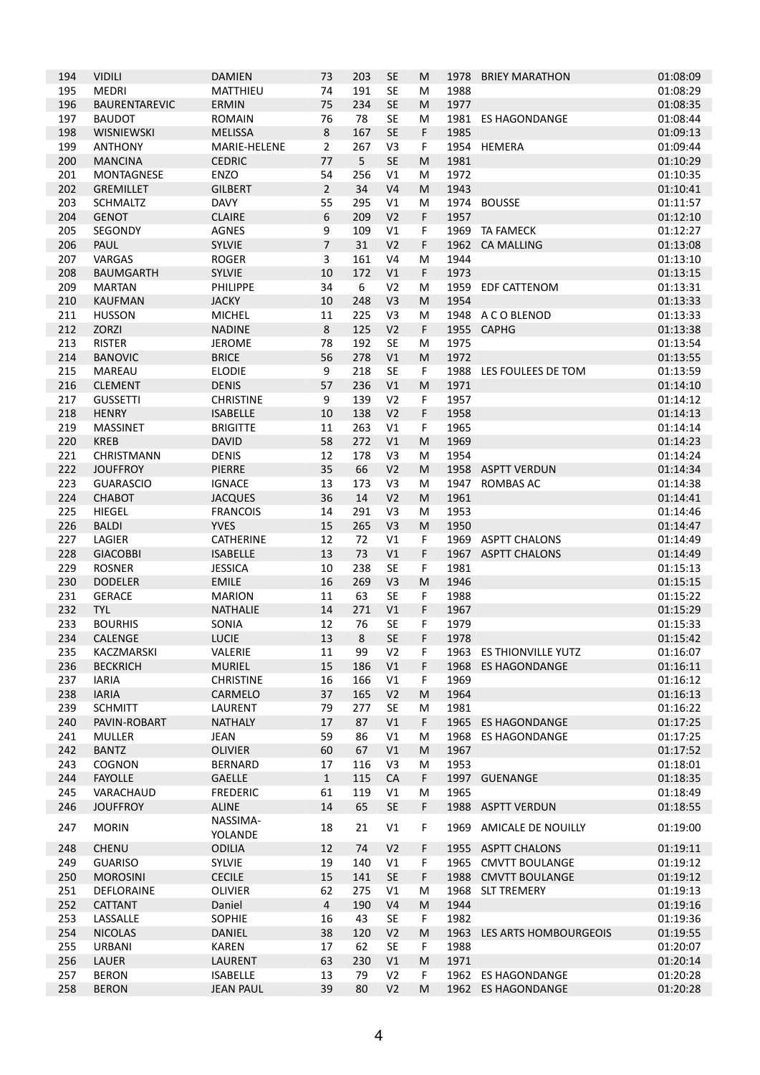| 194        | <b>VIDILI</b>                     | <b>DAMIEN</b>                   | 73             | 203       | SE                   | M      | 1978         | <b>BRIEY MARATHON</b>                   | 01:08:09             |
|------------|-----------------------------------|---------------------------------|----------------|-----------|----------------------|--------|--------------|-----------------------------------------|----------------------|
| 195        | <b>MEDRI</b>                      | <b>MATTHIEU</b>                 | 74             | 191       | SE                   | м      | 1988         |                                         | 01:08:29             |
| 196        | <b>BAURENTAREVIC</b>              | <b>ERMIN</b>                    | 75             | 234       | <b>SE</b>            | M      | 1977         |                                         | 01:08:35             |
| 197        | <b>BAUDOT</b>                     | <b>ROMAIN</b>                   | 76             | 78        | <b>SE</b>            | М      | 1981         | <b>ES HAGONDANGE</b>                    | 01:08:44             |
| 198        | <b>WISNIEWSKI</b>                 | <b>MELISSA</b>                  | 8              | 167       | <b>SE</b>            | F      | 1985         |                                         | 01:09:13             |
| 199        | <b>ANTHONY</b>                    | MARIE-HELENE                    | 2              | 267       | V3                   | F      |              | 1954 HEMERA                             | 01:09:44             |
| 200        | <b>MANCINA</b>                    | <b>CEDRIC</b>                   | 77             | 5         | <b>SE</b>            | M      | 1981         |                                         | 01:10:29             |
| 201        | <b>MONTAGNESE</b>                 | ENZO                            | 54             | 256       | V1                   | м      | 1972         |                                         | 01:10:35             |
| 202        | <b>GREMILLET</b>                  | <b>GILBERT</b>                  | $\overline{2}$ | 34        | V <sub>4</sub>       | M      | 1943         |                                         | 01:10:41             |
| 203        | <b>SCHMALTZ</b>                   | <b>DAVY</b>                     | 55             | 295       | V1                   | М      | 1974         | <b>BOUSSE</b>                           | 01:11:57             |
| 204        | <b>GENOT</b>                      | <b>CLAIRE</b>                   | 6              | 209       | V <sub>2</sub>       | F      | 1957         |                                         | 01:12:10             |
| 205        | SEGONDY                           | AGNES                           | 9              | 109       | V1                   | F      |              | 1969 TA FAMECK                          | 01:12:27             |
| 206        | PAUL                              | <b>SYLVIE</b>                   | $\overline{7}$ | 31        | V <sub>2</sub>       | F      | 1962         | <b>CA MALLING</b>                       | 01:13:08             |
| 207        | VARGAS                            | <b>ROGER</b>                    | 3              | 161       | V <sub>4</sub>       | M      | 1944         |                                         | 01:13:10             |
| 208        | <b>BAUMGARTH</b>                  | <b>SYLVIE</b>                   | 10             | 172       | V1                   | F      | 1973         |                                         | 01:13:15             |
| 209        | <b>MARTAN</b>                     | PHILIPPE                        | 34             | 6         | V <sub>2</sub>       | M      | 1959         | <b>EDF CATTENOM</b>                     | 01:13:31             |
| 210        | <b>KAUFMAN</b>                    | <b>JACKY</b>                    | 10             | 248       | V <sub>3</sub>       | M      | 1954         |                                         | 01:13:33             |
| 211        | <b>HUSSON</b>                     | <b>MICHEL</b>                   | 11             | 225       | V3                   | M      |              | 1948 A C O BLENOD                       | 01:13:33             |
| 212        | ZORZI                             | <b>NADINE</b>                   | $\,8\,$        | 125       | V <sub>2</sub>       | F      | 1955         | <b>CAPHG</b>                            | 01:13:38             |
| 213        | <b>RISTER</b>                     | <b>JEROME</b>                   | 78             | 192       | SE                   | M      | 1975         |                                         | 01:13:54             |
| 214        | <b>BANOVIC</b>                    | <b>BRICE</b>                    | 56             | 278       | V1                   | M      | 1972         |                                         | 01:13:55             |
| 215        | <b>MAREAU</b>                     | <b>ELODIE</b>                   | 9              | 218       | <b>SE</b>            | F      | 1988         | LES FOULEES DE TOM                      | 01:13:59             |
| 216        | <b>CLEMENT</b>                    | <b>DENIS</b>                    | 57             | 236       | V1                   | M      | 1971         |                                         | 01:14:10             |
| 217        | <b>GUSSETTI</b>                   | <b>CHRISTINE</b>                | 9              | 139       | V <sub>2</sub>       | F      | 1957         |                                         | 01:14:12             |
| 218        | <b>HENRY</b>                      | <b>ISABELLE</b>                 | 10             | 138       | V <sub>2</sub>       | F      | 1958         |                                         | 01:14:13             |
| 219        | <b>MASSINET</b>                   | <b>BRIGITTE</b>                 | 11             | 263       | V1                   | F      | 1965         |                                         | 01:14:14             |
| 220        | <b>KREB</b>                       | <b>DAVID</b>                    | 58             | 272       | V1                   | M      | 1969         |                                         | 01:14:23             |
| 221        | CHRISTMANN                        | <b>DENIS</b>                    | 12             | 178       | V3                   | М      | 1954         |                                         | 01:14:24             |
| 222<br>223 | <b>JOUFFROY</b>                   | <b>PIERRE</b>                   | 35<br>13       | 66<br>173 | V <sub>2</sub>       | M<br>м | 1958<br>1947 | <b>ASPTT VERDUN</b><br><b>ROMBAS AC</b> | 01:14:34             |
| 224        | <b>GUARASCIO</b><br><b>CHABOT</b> | <b>IGNACE</b><br><b>JACQUES</b> | 36             | 14        | V3<br>V <sub>2</sub> | M      | 1961         |                                         | 01:14:38<br>01:14:41 |
| 225        | HIEGEL                            | <b>FRANCOIS</b>                 | 14             | 291       | V3                   | м      | 1953         |                                         | 01:14:46             |
| 226        | <b>BALDI</b>                      | <b>YVES</b>                     | 15             | 265       | V <sub>3</sub>       | M      | 1950         |                                         | 01:14:47             |
| 227        | LAGIER                            | <b>CATHERINE</b>                | 12             | 72        | V1                   | F      | 1969         | <b>ASPTT CHALONS</b>                    | 01:14:49             |
| 228        | <b>GIACOBBI</b>                   | <b>ISABELLE</b>                 | 13             | 73        | V1                   | F      | 1967         | <b>ASPTT CHALONS</b>                    | 01:14:49             |
| 229        | <b>ROSNER</b>                     | <b>JESSICA</b>                  | 10             | 238       | <b>SE</b>            | F      | 1981         |                                         | 01:15:13             |
| 230        | <b>DODELER</b>                    | <b>EMILE</b>                    | 16             | 269       | V <sub>3</sub>       | M      | 1946         |                                         | 01:15:15             |
| 231        | <b>GERACE</b>                     | <b>MARION</b>                   | 11             | 63        | <b>SE</b>            | F      | 1988         |                                         | 01:15:22             |
| 232        | <b>TYL</b>                        | <b>NATHALIE</b>                 | 14             | 271       | V1                   | F      | 1967         |                                         | 01:15:29             |
| 233        | <b>BOURHIS</b>                    | SONIA                           | 12             | 76        | <b>SE</b>            | F      | 1979         |                                         | 01:15:33             |
| 234        | <b>CALENGE</b>                    | <b>LUCIF</b>                    | 13             | 8         | <b>SE</b>            | F      | 1978         |                                         | 01:15:42             |
| 235        | KACZMARSKI                        | VALERIE                         | 11             | 99        | V <sub>2</sub>       | F      |              | 1963 ES THIONVILLE YUTZ                 | 01:16:07             |
| 236        | <b>BECKRICH</b>                   | <b>MURIEL</b>                   | 15             | 186       | V1                   | F      | 1968         | <b>ES HAGONDANGE</b>                    | 01:16:11             |
| 237        | <b>IARIA</b>                      | <b>CHRISTINE</b>                | 16             | 166       | V1                   | F      | 1969         |                                         | 01:16:12             |
| 238        | <b>IARIA</b>                      | CARMELO                         | 37             | 165       | V <sub>2</sub>       | M      | 1964         |                                         | 01:16:13             |
| 239        | <b>SCHMITT</b>                    | LAURENT                         | 79             | 277       | <b>SE</b>            | М      | 1981         |                                         | 01:16:22             |
| 240        | PAVIN-ROBART                      | <b>NATHALY</b>                  | 17             | 87        | V1                   | F      | 1965         | ES HAGONDANGE                           | 01:17:25             |
| 241        | <b>MULLER</b>                     | JEAN                            | 59             | 86        | V1                   | М      | 1968         | <b>ES HAGONDANGE</b>                    | 01:17:25             |
| 242        | <b>BANTZ</b>                      | <b>OLIVIER</b>                  | 60             | 67        | $\vee\!1$            | M      | 1967         |                                         | 01:17:52             |
| 243        | <b>COGNON</b>                     | BERNARD                         | 17             | 116       | V3                   | M      | 1953         |                                         | 01:18:01             |
| 244        | <b>FAYOLLE</b>                    | <b>GAELLE</b>                   | $\mathbf{1}$   | 115       | CA                   | F      |              | 1997 GUENANGE                           | 01:18:35             |
| 245        | VARACHAUD                         | <b>FREDERIC</b>                 | 61             | 119       | V1                   | М      | 1965         |                                         | 01:18:49             |
| 246        | <b>JOUFFROY</b>                   | <b>ALINE</b>                    | 14             | 65        | <b>SE</b>            | F      |              | 1988 ASPTT VERDUN                       | 01:18:55             |
| 247        | <b>MORIN</b>                      | NASSIMA-<br>YOLANDE             | 18             | 21        | V1                   | F.     | 1969         | AMICALE DE NOUILLY                      | 01:19:00             |
| 248        | <b>CHENU</b>                      | <b>ODILIA</b>                   | 12             | 74        | V <sub>2</sub>       | F      |              | 1955 ASPTT CHALONS                      | 01:19:11             |
| 249        | <b>GUARISO</b>                    | SYLVIE                          | 19             | 140       | V1                   | F      |              | 1965 CMVTT BOULANGE                     | 01:19:12             |
| 250        | <b>MOROSINI</b>                   | <b>CECILE</b>                   | 15             | 141       | SE                   | F      |              | 1988 CMVTT BOULANGE                     | 01:19:12             |
| 251        | DEFLORAINE                        | <b>OLIVIER</b>                  | 62             | 275       | V1                   | М      | 1968         | <b>SLT TREMERY</b>                      | 01:19:13             |
| 252        | <b>CATTANT</b>                    | Daniel                          | $\overline{4}$ | 190       | V <sub>4</sub>       | M      | 1944         |                                         | 01:19:16             |
| 253        | LASSALLE                          | SOPHIE                          | 16             | 43        | SE                   | F      | 1982         |                                         | 01:19:36             |
| 254        | <b>NICOLAS</b>                    | DANIEL                          | 38             | 120       | V <sub>2</sub>       | M      |              | 1963 LES ARTS HOMBOURGEOIS              | 01:19:55             |
| 255        | URBANI                            | <b>KAREN</b>                    | 17             | 62        | SE                   | F.     | 1988         |                                         | 01:20:07             |
| 256        | LAUER                             | LAURENT                         | 63             | 230       | V1                   | M      | 1971         |                                         | 01:20:14             |
| 257        | <b>BERON</b>                      | <b>ISABELLE</b>                 | 13             | 79        | V <sub>2</sub>       | F.     |              | 1962 ES HAGONDANGE                      | 01:20:28             |
| 258        | <b>BERON</b>                      | <b>JEAN PAUL</b>                | 39             | 80        | V <sub>2</sub>       | M      |              | 1962 ES HAGONDANGE                      | 01:20:28             |